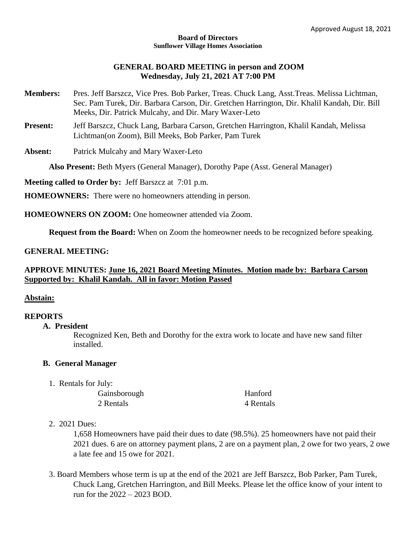#### **Board of Directors Sunflower Village Homes Association**

# **GENERAL BOARD MEETING in person and ZOOM Wednesday, July 21, 2021 AT 7:00 PM**

- **Members:** Pres. Jeff Barszcz, Vice Pres. Bob Parker, Treas. Chuck Lang, Asst.Treas. Melissa Lichtman, Sec. Pam Turek, Dir. Barbara Carson, Dir. Gretchen Harrington, Dir. Khalil Kandah, Dir. Bill Meeks, Dir. Patrick Mulcahy, and Dir. Mary Waxer-Leto
- **Present:** Jeff Barszcz, Chuck Lang, Barbara Carson, Gretchen Harrington, Khalil Kandah, Melissa Lichtman(on Zoom), Bill Meeks, Bob Parker, Pam Turek

**Absent:** Patrick Mulcahy and Mary Waxer-Leto

**Also Present:** Beth Myers (General Manager), Dorothy Pape (Asst. General Manager)

**Meeting called to Order by:** Jeff Barszcz at 7:01 p.m.

**HOMEOWNERS:** There were no homeowners attending in person.

**HOMEOWNERS ON ZOOM:** One homeowner attended via Zoom.

**Request from the Board:** When on Zoom the homeowner needs to be recognized before speaking.

### **GENERAL MEETING:**

# **APPROVE MINUTES: June 16, 2021 Board Meeting Minutes. Motion made by: Barbara Carson Supported by: Khalil Kandah. All in favor: Motion Passed**

### **Abstain:**

### **REPORTS**

**A. President**

Recognized Ken, Beth and Dorothy for the extra work to locate and have new sand filter installed.

### **B. General Manager**

1. Rentals for July:

Gainsborough Hanford 2 Rentals 4 Rentals

### 2. 2021 Dues:

1,658 Homeowners have paid their dues to date (98.5%). 25 homeowners have not paid their 2021 dues. 6 are on attorney payment plans, 2 are on a payment plan, 2 owe for two years, 2 owe a late fee and 15 owe for 2021.

3. Board Members whose term is up at the end of the 2021 are Jeff Barszcz, Bob Parker, Pam Turek, Chuck Lang, Gretchen Harrington, and Bill Meeks. Please let the office know of your intent to run for the 2022 – 2023 BOD.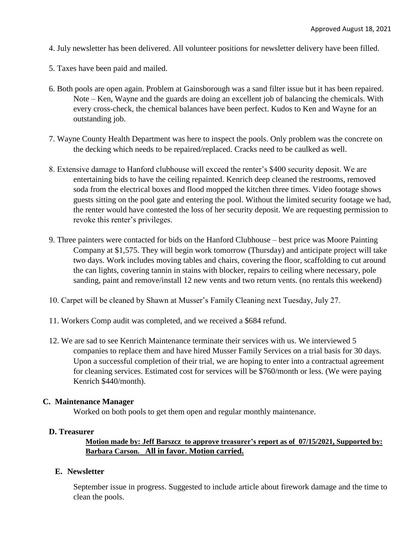- 4. July newsletter has been delivered. All volunteer positions for newsletter delivery have been filled.
- 5. Taxes have been paid and mailed.
- 6. Both pools are open again. Problem at Gainsborough was a sand filter issue but it has been repaired. Note – Ken, Wayne and the guards are doing an excellent job of balancing the chemicals. With every cross-check, the chemical balances have been perfect. Kudos to Ken and Wayne for an outstanding job.
- 7. Wayne County Health Department was here to inspect the pools. Only problem was the concrete on the decking which needs to be repaired/replaced. Cracks need to be caulked as well.
- 8. Extensive damage to Hanford clubhouse will exceed the renter's \$400 security deposit. We are entertaining bids to have the ceiling repainted. Kenrich deep cleaned the restrooms, removed soda from the electrical boxes and flood mopped the kitchen three times. Video footage shows guests sitting on the pool gate and entering the pool. Without the limited security footage we had, the renter would have contested the loss of her security deposit. We are requesting permission to revoke this renter's privileges.
- 9. Three painters were contacted for bids on the Hanford Clubhouse best price was Moore Painting Company at \$1,575. They will begin work tomorrow (Thursday) and anticipate project will take two days. Work includes moving tables and chairs, covering the floor, scaffolding to cut around the can lights, covering tannin in stains with blocker, repairs to ceiling where necessary, pole sanding, paint and remove/install 12 new vents and two return vents. (no rentals this weekend)
- 10. Carpet will be cleaned by Shawn at Musser's Family Cleaning next Tuesday, July 27.
- 11. Workers Comp audit was completed, and we received a \$684 refund.
- 12. We are sad to see Kenrich Maintenance terminate their services with us. We interviewed 5 companies to replace them and have hired Musser Family Services on a trial basis for 30 days. Upon a successful completion of their trial, we are hoping to enter into a contractual agreement for cleaning services. Estimated cost for services will be \$760/month or less. (We were paying Kenrich \$440/month).

### **C. Maintenance Manager**

Worked on both pools to get them open and regular monthly maintenance.

#### **D. Treasurer**

# **Motion made by: Jeff Barszcz to approve treasurer's report as of 07/15/2021, Supported by: Barbara Carson. All in favor. Motion carried.**

#### **E. Newsletter**

September issue in progress. Suggested to include article about firework damage and the time to clean the pools.